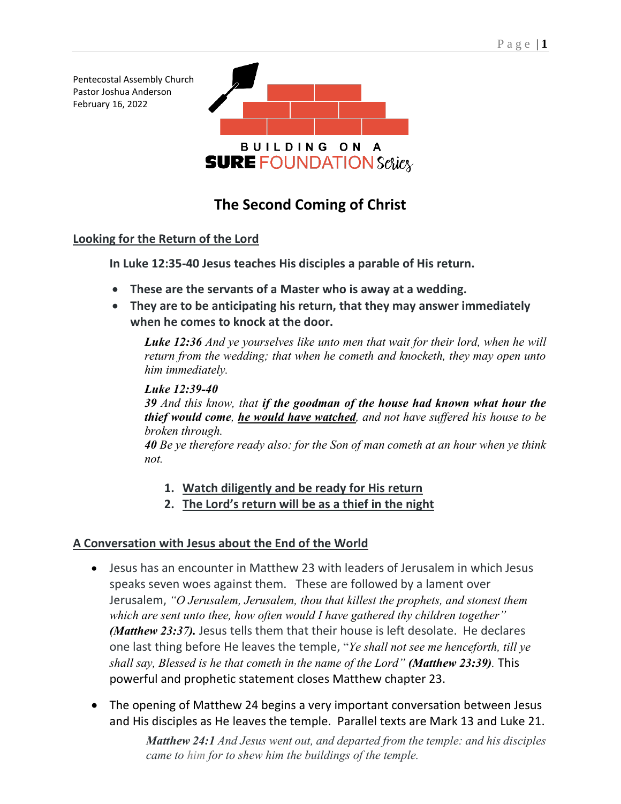Pentecostal Assembly Church Pastor Joshua Anderson February 16, 2022



# **The Second Coming of Christ**

### **Looking for the Return of the Lord**

**In Luke 12:35-40 Jesus teaches His disciples a parable of His return.** 

- **These are the servants of a Master who is away at a wedding.**
- **They are to be anticipating his return, that they may answer immediately when he comes to knock at the door.**

*[Luke 12:36](verseid:42.12.36) And ye yourselves like unto men that wait for their lord, when he will return from the wedding; that when he cometh and knocketh, they may open unto him immediately.*

#### *Luke 12:39-40*

*39 And this know, that if the goodman of the house had known what hour the thief would come, he would have watched, and not have suffered his house to be broken through.*

*40 Be ye therefore ready also: for the Son of man cometh at an hour when ye think not.*

- **1. Watch diligently and be ready for His return**
- **2. The Lord's return will be as a thief in the night**

### **A Conversation with Jesus about the End of the World**

- Jesus has an encounter in Matthew 23 with leaders of Jerusalem in which Jesus speaks seven woes against them. These are followed by a lament over Jerusalem, *"O Jerusalem, Jerusalem, thou that killest the prophets, and stonest them which are sent unto thee, how often would I have gathered thy children together" (Matthew 23:37).* Jesus tells them that their house is left desolate. He declares one last thing before He leaves the temple, "*Ye shall not see me henceforth, till ye shall say, Blessed is he that cometh in the name of the Lord" (Matthew 23:39).* This powerful and prophetic statement closes Matthew chapter 23.
- The opening of Matthew 24 begins a very important conversation between Jesus and His disciples as He leaves the temple. Parallel texts are Mark 13 and Luke 21.

*Matthew 24:1 And Jesus went out, and departed from the temple: and his disciples came to him for to shew him the buildings of the temple.*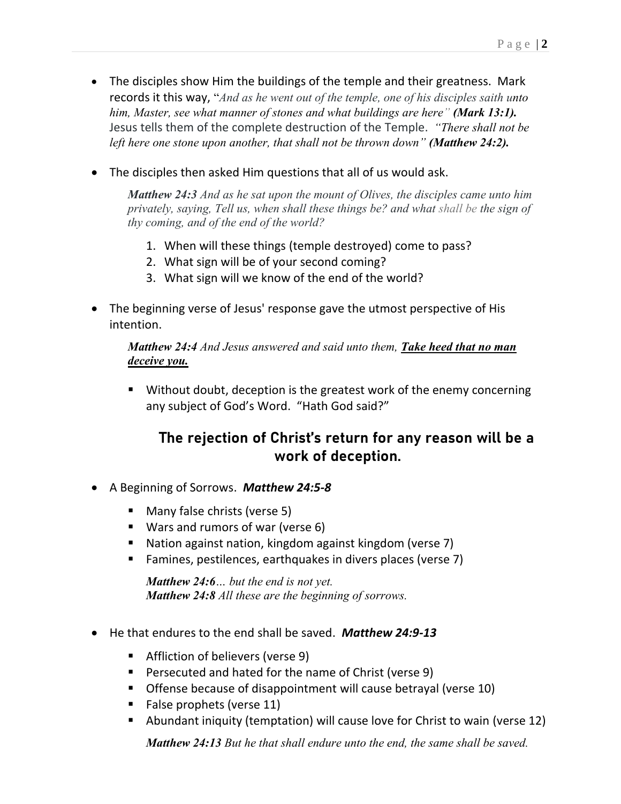- The disciples show Him the buildings of the temple and their greatness. Mark records it this way, "*And as he went out of the temple, one of his disciples saith unto him, Master, see what manner of stones and what buildings are here" (Mark 13:1).*  Jesus tells them of the complete destruction of the Temple. *"There shall not be left here one stone upon another, that shall not be thrown down" (Matthew 24:2).*
- The disciples then asked Him questions that all of us would ask.

*Matthew 24:3 And as he sat upon the mount of Olives, the disciples came unto him privately, saying, Tell us, when shall these things be? and what shall be the sign of thy coming, and of the end of the world?*

- 1. When will these things (temple destroyed) come to pass?
- 2. What sign will be of your second coming?
- 3. What sign will we know of the end of the world?
- The beginning verse of Jesus' response gave the utmost perspective of His intention.

*Matthew 24:4 And Jesus answered and said unto them, Take heed that no man deceive you.*

■ Without doubt, deception is the greatest work of the enemy concerning any subject of God's Word. "Hath God said?"

## **The rejection of Christ's return for any reason will be a work of deception.**

- A Beginning of Sorrows. *Matthew 24:5-8*
	- Many false christs (verse 5)
	- Wars and rumors of war (verse 6)
	- Nation against nation, kingdom against kingdom (verse 7)
	- Famines, pestilences, earthquakes in divers places (verse 7)

*Matthew 24:6… but the end is not yet. Matthew 24:8 All these are the beginning of sorrows.* 

- He that endures to the end shall be saved. *Matthew 24:9-13*
	- Affliction of believers (verse 9)
	- Persecuted and hated for the name of Christ (verse 9)
	- Offense because of disappointment will cause betrayal (verse 10)
	- False prophets (verse 11)
	- Abundant iniquity (temptation) will cause love for Christ to wain (verse 12)

*Matthew 24:13 But he that shall endure unto the end, the same shall be saved.*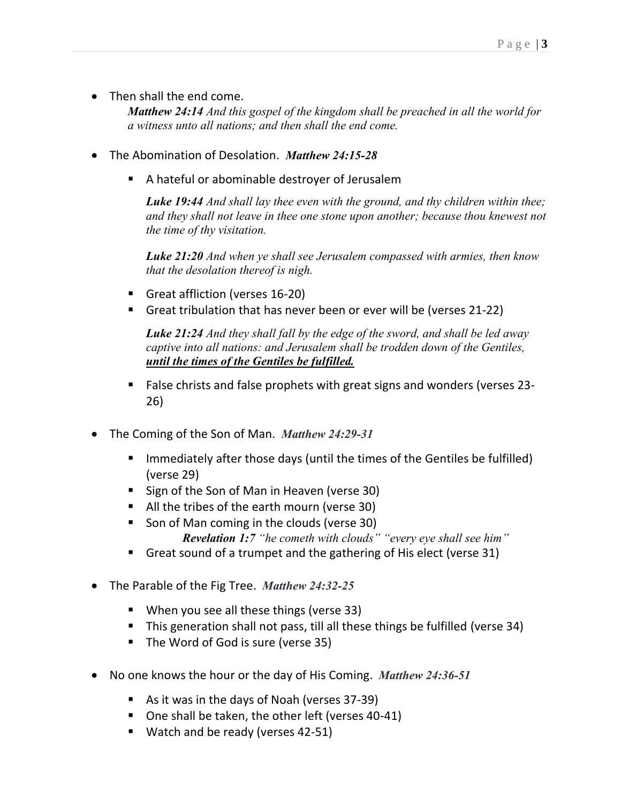• Then shall the end come.

*Matthew 24:14 And this gospel of the kingdom shall be preached in all the world for a witness unto all nations; and then shall the end come.*

- The Abomination of Desolation. *Matthew 24:15-28*
	- A hateful or abominable destroyer of Jerusalem

*Luke 19:44 And shall lay thee even with the ground, and thy children within thee; and they shall not leave in thee one stone upon another; because thou knewest not the time of thy visitation.*

*Luke 21:20 And when ye shall see Jerusalem compassed with armies, then know that the desolation thereof is nigh.*

- Great affliction (verses 16-20)
- Great tribulation that has never been or ever will be (verses 21-22)

*Luke 21:24 And they shall fall by the edge of the sword, and shall be led away captive into all nations: and Jerusalem shall be trodden down of the Gentiles, until the times of the Gentiles be fulfilled.*

- False christs and false prophets with great signs and wonders (verses 23-26)
- The Coming of the Son of Man. *Matthew 24:29-31*
	- Immediately after those days (until the times of the Gentiles be fulfilled) (verse 29)
	- Sign of the Son of Man in Heaven (verse 30)
	- All the tribes of the earth mourn (verse 30)
	- Son of Man coming in the clouds (verse 30) *Revelation 1:7 "he cometh with clouds" "every eye shall see him"*
	- Great sound of a trumpet and the gathering of His elect (verse 31)
- The Parable of the Fig Tree. *Matthew 24:32-25*
	- When you see all these things (verse 33)
	- This generation shall not pass, till all these things be fulfilled (verse 34)
	- The Word of God is sure (verse 35)
- No one knows the hour or the day of His Coming. *Matthew 24:36-51*
	- As it was in the days of Noah (verses 37-39)
	- One shall be taken, the other left (verses 40-41)
	- Watch and be ready (verses 42-51)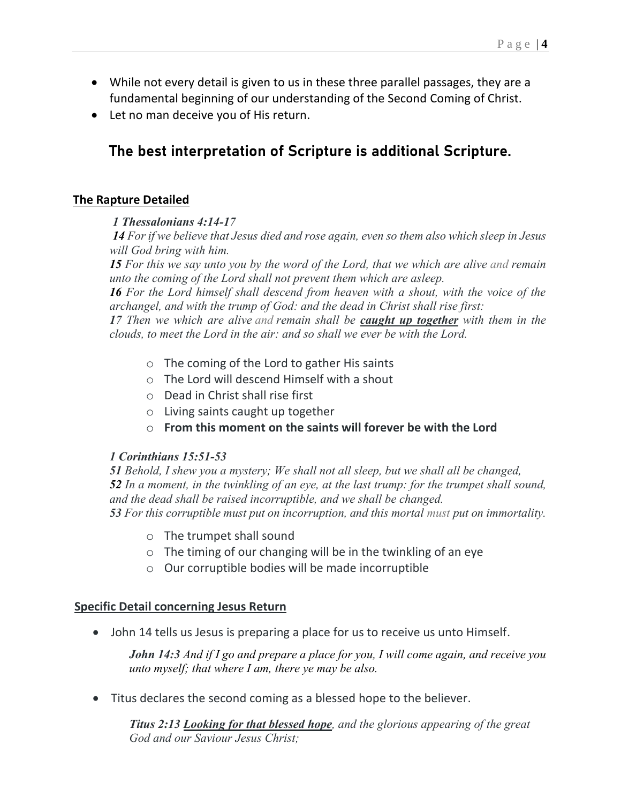- While not every detail is given to us in these three parallel passages, they are a fundamental beginning of our understanding of the Second Coming of Christ.
- Let no man deceive you of His return.

# **The best interpretation of Scripture is additional Scripture.**

#### **The Rapture Detailed**

#### *1 Thessalonians 4:14-17*

*14 For if we believe that Jesus died and rose again, even so them also which sleep in Jesus will God bring with him.*

*15 For this we say unto you by the word of the Lord, that we which are alive and remain unto the coming of the Lord shall not prevent them which are asleep.*

*16 For the Lord himself shall descend from heaven with a shout, with the voice of the archangel, and with the trump of God: and the dead in Christ shall rise first:*

*17 Then we which are alive and remain shall be caught up together with them in the clouds, to meet the Lord in the air: and so shall we ever be with the Lord.*

- o The coming of the Lord to gather His saints
- o The Lord will descend Himself with a shout
- o Dead in Christ shall rise first
- o Living saints caught up together
- o **From this moment on the saints will forever be with the Lord**

#### *1 Corinthians 15:51-53*

*Behold, I shew you a mystery; We shall not all sleep, but we shall all be changed, In a moment, in the twinkling of an eye, at the last trump: for the trumpet shall sound, and the dead shall be raised incorruptible, and we shall be changed. For this corruptible must put on incorruption, and this mortal must put on immortality.*

- o The trumpet shall sound
- $\circ$  The timing of our changing will be in the twinkling of an eye
- o Our corruptible bodies will be made incorruptible

#### **Specific Detail concerning Jesus Return**

• John 14 tells us Jesus is preparing a place for us to receive us unto Himself.

*John 14:3 And if I go and prepare a place for you, I will come again, and receive you unto myself; that where I am, there ye may be also.*

• Titus declares the second coming as a blessed hope to the believer.

*Titus 2:13 Looking for that blessed hope, and the glorious appearing of the great God and our Saviour Jesus Christ;*